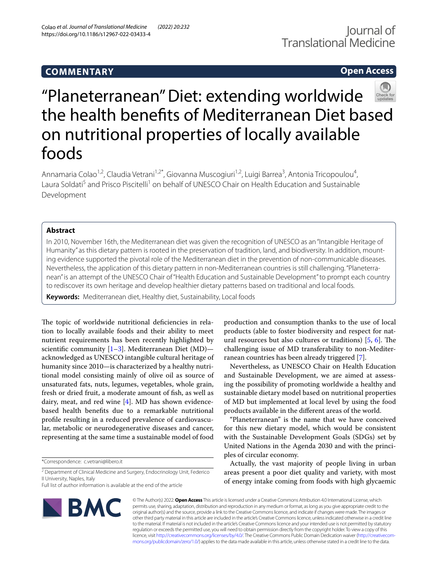# **COMMENTARY**

# **Open Access**



# "Planeterranean" Diet: extending worldwide the health benefts of Mediterranean Diet based on nutritional properties of locally available foods

Annamaria Colao<sup>1,2</sup>, Claudia Vetrani<sup>1,2\*</sup>, Giovanna Muscogiuri<sup>1,2</sup>, Luigi Barrea<sup>3</sup>, Antonia Tricopoulou<sup>4</sup>, Laura Soldati<sup>5</sup> and Prisco Piscitelli<sup>1</sup> on behalf of UNESCO Chair on Health Education and Sustainable Development

# **Abstract**

In 2010, November 16th, the Mediterranean diet was given the recognition of UNESCO as an "Intangible Heritage of Humanity" as this dietary pattern is rooted in the preservation of tradition, land, and biodiversity. In addition, mounting evidence supported the pivotal role of the Mediterranean diet in the prevention of non-communicable diseases. Nevertheless, the application of this dietary pattern in non-Mediterranean countries is still challenging. "Planeterranean" is an attempt of the UNESCO Chair of "Health Education and Sustainable Development" to prompt each country to rediscover its own heritage and develop healthier dietary patterns based on traditional and local foods.

**Keywords:** Mediterranean diet, Healthy diet, Sustainability, Local foods

The topic of worldwide nutritional deficiencies in relation to locally available foods and their ability to meet nutrient requirements has been recently highlighted by scientific community  $[1-3]$  $[1-3]$  $[1-3]$ . Mediterranean Diet (MD)acknowledged as UNESCO intangible cultural heritage of humanity since 2010—is characterized by a healthy nutritional model consisting mainly of olive oil as source of unsaturated fats, nuts, legumes, vegetables, whole grain, fresh or dried fruit, a moderate amount of fsh, as well as dairy, meat, and red wine [\[4](#page-2-0)]. MD has shown evidencebased health benefts due to a remarkable nutritional profle resulting in a reduced prevalence of cardiovascular, metabolic or neurodegenerative diseases and cancer, representing at the same time a sustainable model of food

Full list of author information is available at the end of the article

production and consumption thanks to the use of local products (able to foster biodiversity and respect for natural resources but also cultures or traditions)  $[5, 6]$  $[5, 6]$  $[5, 6]$ . The challenging issue of MD transferability to non-Mediterranean countries has been already triggered [\[7](#page-2-3)].

Nevertheless, as UNESCO Chair on Health Education and Sustainable Development, we are aimed at assessing the possibility of promoting worldwide a healthy and sustainable dietary model based on nutritional properties of MD but implemented at local level by using the food products available in the diferent areas of the world.

"Planeterranean" is the name that we have conceived for this new dietary model, which would be consistent with the Sustainable Development Goals (SDGs) set by United Nations in the Agenda 2030 and with the principles of circular economy.

Actually, the vast majority of people living in urban areas present a poor diet quality and variety, with most of energy intake coming from foods with high glycaemic



© The Author(s) 2022. **Open Access** This article is licensed under a Creative Commons Attribution 4.0 International License, which permits use, sharing, adaptation, distribution and reproduction in any medium or format, as long as you give appropriate credit to the original author(s) and the source, provide a link to the Creative Commons licence, and indicate if changes were made. The images or other third party material in this article are included in the article's Creative Commons licence, unless indicated otherwise in a credit line to the material. If material is not included in the article's Creative Commons licence and your intended use is not permitted by statutory regulation or exceeds the permitted use, you will need to obtain permission directly from the copyright holder. To view a copy of this licence, visit [http://creativecommons.org/licenses/by/4.0/.](http://creativecommons.org/licenses/by/4.0/) The Creative Commons Public Domain Dedication waiver ([http://creativecom](http://creativecommons.org/publicdomain/zero/1.0/)[mons.org/publicdomain/zero/1.0/\)](http://creativecommons.org/publicdomain/zero/1.0/) applies to the data made available in this article, unless otherwise stated in a credit line to the data.

<sup>\*</sup>Correspondence: c.vetrani@libero.it

<sup>&</sup>lt;sup>2</sup> Department of Clinical Medicine and Surgery, Endocrinology Unit, Federico II University, Naples, Italy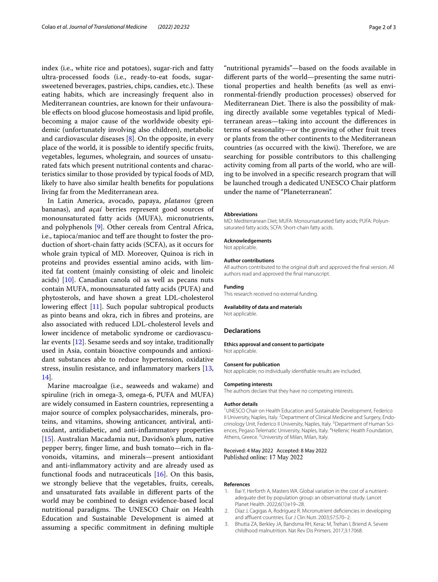index (i.e., white rice and potatoes), sugar-rich and fatty ultra-processed foods (i.e., ready-to-eat foods, sugarsweetened beverages, pastries, chips, candies, etc.). These eating habits, which are increasingly frequent also in Mediterranean countries, are known for their unfavourable effects on blood glucose homeostasis and lipid profile, becoming a major cause of the worldwide obesity epidemic (unfortunately involving also children), metabolic and cardiovascular diseases [[8\]](#page-2-4). On the opposite, in every place of the world, it is possible to identify specifc fruits, vegetables, legumes, wholegrain, and sources of unsaturated fats which present nutritional contents and characteristics similar to those provided by typical foods of MD, likely to have also similar health benefts for populations living far from the Mediterranean area.

In Latin America, avocado, papaya, *platanos* (green bananas), and *açaí* berries represent good sources of monounsaturated fatty acids (MUFA), micronutrients, and polyphenols [[9\]](#page-2-5). Other cereals from Central Africa, i.e., tapioca/manioc and teff are thought to foster the production of short-chain fatty acids (SCFA), as it occurs for whole grain typical of MD. Moreover, Quinoa is rich in proteins and provides essential amino acids, with limited fat content (mainly consisting of oleic and linoleic acids) [[10\]](#page-2-6). Canadian canola oil as well as pecans nuts contain MUFA, monounsaturated fatty acids (PUFA) and phytosterols, and have shown a great LDL-cholesterol lowering efect [[11\]](#page-2-7). Such popular subtropical products as pinto beans and okra, rich in fbres and proteins, are also associated with reduced LDL-cholesterol levels and lower incidence of metabolic syndrome or cardiovascular events [[12\]](#page-2-8). Sesame seeds and soy intake, traditionally used in Asia, contain bioactive compounds and antioxidant substances able to reduce hypertension, oxidative stress, insulin resistance, and infammatory markers [\[13](#page-2-9), [14\]](#page-2-10).

Marine macroalgae (i.e., seaweeds and wakame) and spiruline (rich in omega-3, omega-6, PUFA and MUFA) are widely consumed in Eastern countries, representing a major source of complex polysaccharides, minerals, proteins, and vitamins, showing anticancer, antiviral, antioxidant, antidiabetic, and anti-infammatory properties [[15\]](#page-2-11). Australian Macadamia nut, Davidson's plum, native pepper berry, fnger lime, and bush tomato—rich in favonoids, vitamins, and minerals—present antioxidant and anti-infammatory activity and are already used as functional foods and nutraceuticals [[16\]](#page-2-12). On this basis, we strongly believe that the vegetables, fruits, cereals, and unsaturated fats available in diferent parts of the world may be combined to design evidence-based local nutritional paradigms. The UNESCO Chair on Health Education and Sustainable Development is aimed at assuming a specifc commitment in defning multiple "nutritional pyramids"—based on the foods available in diferent parts of the world—presenting the same nutritional properties and health benefts (as well as environmental-friendly production processes) observed for Mediterranean Diet. There is also the possibility of making directly available some vegetables typical of Mediterranean areas—taking into account the diferences in terms of seasonality—or the growing of other fruit trees or plants from the other continents to the Mediterranean countries (as occurred with the kiwi). Therefore, we are searching for possible contributors to this challenging activity coming from all parts of the world, who are willing to be involved in a specifc research program that will be launched trough a dedicated UNESCO Chair platform under the name of "Planeterranean".

#### **Abbreviations**

MD: Mediterranean Diet; MUFA: Monounsaturated fatty acids; PUFA: Polyunsaturated fatty acids; SCFA: Short-chain fatty acids.

#### **Acknowledgements**

Not applicable.

#### **Author contributions**

All authors contributed to the original draft and approved the fnal version. All authors read and approved the fnal manuscript.

### **Funding**

This research received no external funding.

## **Availability of data and materials**

Not applicable.

#### **Declarations**

**Ethics approval and consent to participate**

Not applicable.

# **Consent for publication**

Not applicable; no individually identifable results are included.

#### **Competing interests**

The authors declare that they have no competing interests.

#### **Author details**

<sup>1</sup> UNESCO Chair on Health Education and Sustainable Development, Federico II University, Naples, Italy. <sup>2</sup> Department of Clinical Medicine and Surgery, Endocrinology Unit, Federico II University, Naples, Italy. <sup>3</sup> Department of Human Sciences, Pegaso Telematic University, Naples, Italy. <sup>4</sup> Hellenic Health Foundation, Athens, Greece.<sup>5</sup> University of Milan, Milan, Italy.

## Received: 4 May 2022 Accepted: 8 May 2022 Published online: 17 May 2022

#### **References**

- <span id="page-1-0"></span>1. Bai Y, Herforth A, Masters WA. Global variation in the cost of a nutrientadequate diet by population group: an observational study. Lancet Planet Health. 2022;6(1):e19–28.
- 2. Díaz J, Cagigas A, Rodríguez R. Micronutrient defciencies in developing and affluent countries. Eur J Clin Nutr. 2003;57:S70-2.
- <span id="page-1-1"></span>3. Bhutta ZA, Berkley JA, Bandsma RH, Kerac M, Trehan I, Briend A. Severe childhood malnutrition. Nat Rev Dis Primers. 2017;3:17068.